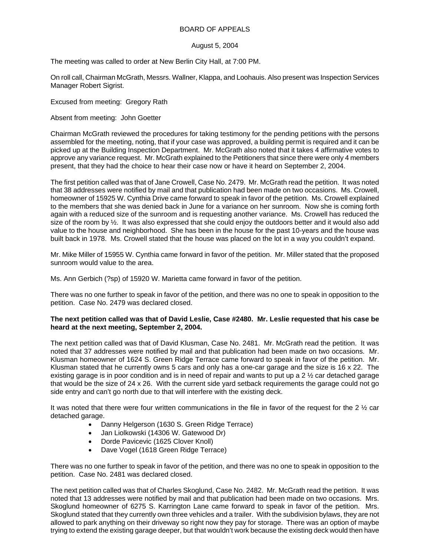## BOARD OF APPEALS

## August 5, 2004

The meeting was called to order at New Berlin City Hall, at 7:00 PM.

On roll call, Chairman McGrath, Messrs. Wallner, Klappa, and Loohauis. Also present was Inspection Services Manager Robert Sigrist.

Excused from meeting: Gregory Rath

Absent from meeting: John Goetter

Chairman McGrath reviewed the procedures for taking testimony for the pending petitions with the persons assembled for the meeting, noting, that if your case was approved, a building permit is required and it can be picked up at the Building Inspection Department. Mr. McGrath also noted that it takes 4 affirmative votes to approve any variance request. Mr. McGrath explained to the Petitioners that since there were only 4 members present, that they had the choice to hear their case now or have it heard on September 2, 2004.

The first petition called was that of Jane Crowell, Case No. 2479. Mr. McGrath read the petition. It was noted that 38 addresses were notified by mail and that publication had been made on two occasions. Ms. Crowell, homeowner of 15925 W. Cynthia Drive came forward to speak in favor of the petition. Ms. Crowell explained to the members that she was denied back in June for a variance on her sunroom. Now she is coming forth again with a reduced size of the sunroom and is requesting another variance. Ms. Crowell has reduced the size of the room by ½. It was also expressed that she could enjoy the outdoors better and it would also add value to the house and neighborhood. She has been in the house for the past 10-years and the house was built back in 1978. Ms. Crowell stated that the house was placed on the lot in a way you couldn't expand.

Mr. Mike Miller of 15955 W. Cynthia came forward in favor of the petition. Mr. Miller stated that the proposed sunroom would value to the area.

Ms. Ann Gerbich (?sp) of 15920 W. Marietta came forward in favor of the petition.

There was no one further to speak in favor of the petition, and there was no one to speak in opposition to the petition. Case No. 2479 was declared closed.

## **The next petition called was that of David Leslie, Case #2480. Mr. Leslie requested that his case be heard at the next meeting, September 2, 2004.**

The next petition called was that of David Klusman, Case No. 2481. Mr. McGrath read the petition. It was noted that 37 addresses were notified by mail and that publication had been made on two occasions. Mr. Klusman homeowner of 1624 S. Green Ridge Terrace came forward to speak in favor of the petition. Mr. Klusman stated that he currently owns 5 cars and only has a one-car garage and the size is 16 x 22. The existing garage is in poor condition and is in need of repair and wants to put up a 2 ½ car detached garage that would be the size of 24 x 26. With the current side yard setback requirements the garage could not go side entry and can't go north due to that will interfere with the existing deck.

It was noted that there were four written communications in the file in favor of the request for the 2  $\frac{1}{2}$  car detached garage.

- Danny Helgerson (1630 S. Green Ridge Terrace)
- Jan Liolkowski (14306 W. Gatewood Dr)
- Dorde Pavicevic (1625 Clover Knoll)
- Dave Vogel (1618 Green Ridge Terrace)

There was no one further to speak in favor of the petition, and there was no one to speak in opposition to the petition. Case No. 2481 was declared closed.

The next petition called was that of Charles Skoglund, Case No. 2482. Mr. McGrath read the petition. It was noted that 13 addresses were notified by mail and that publication had been made on two occasions. Mrs. Skoglund homeowner of 6275 S. Karrington Lane came forward to speak in favor of the petition. Mrs. Skoglund stated that they currently own three vehicles and a trailer. With the subdivision bylaws, they are not allowed to park anything on their driveway so right now they pay for storage. There was an option of maybe trying to extend the existing garage deeper, but that wouldn't work because the existing deck would then have